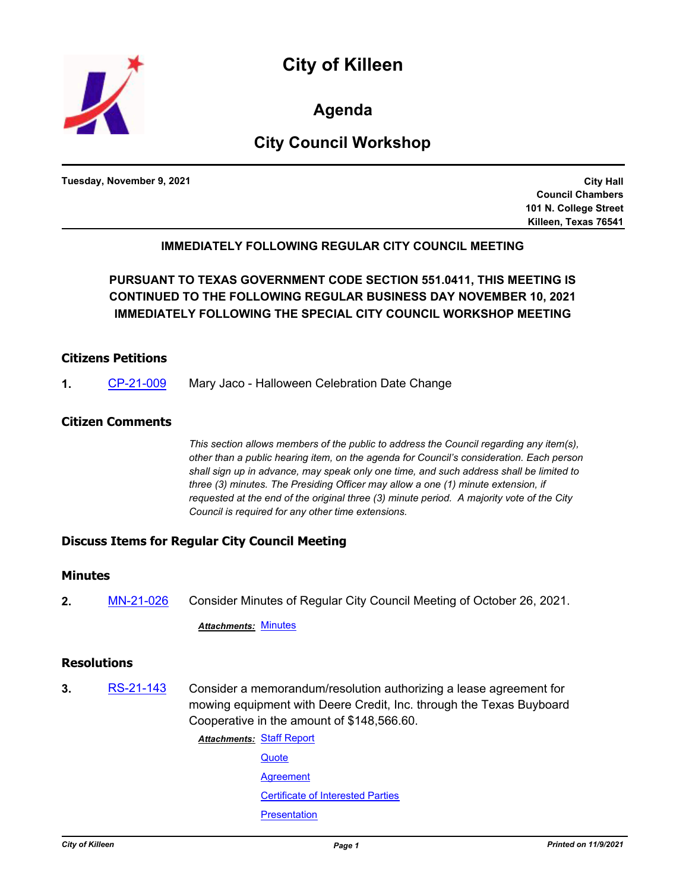

**Agenda**

# **City Council Workshop**

**Tuesday, November 9, 2021**

**City Hall Council Chambers 101 N. College Street Killeen, Texas 76541**

## **IMMEDIATELY FOLLOWING REGULAR CITY COUNCIL MEETING**

**PURSUANT TO TEXAS GOVERNMENT CODE SECTION 551.0411, THIS MEETING IS CONTINUED TO THE FOLLOWING REGULAR BUSINESS DAY NOVEMBER 10, 2021 IMMEDIATELY FOLLOWING THE SPECIAL CITY COUNCIL WORKSHOP MEETING**

## **Citizens Petitions**

**1.** [CP-21-009](http://killeen.legistar.com/gateway.aspx?m=l&id=/matter.aspx?key=5785) Mary Jaco - Halloween Celebration Date Change

## **Citizen Comments**

*This section allows members of the public to address the Council regarding any item(s), other than a public hearing item, on the agenda for Council's consideration. Each person shall sign up in advance, may speak only one time, and such address shall be limited to three (3) minutes. The Presiding Officer may allow a one (1) minute extension, if requested at the end of the original three (3) minute period. A majority vote of the City Council is required for any other time extensions.*

## **Discuss Items for Regular City Council Meeting**

### **Minutes**

**2.** [MN-21-026](http://killeen.legistar.com/gateway.aspx?m=l&id=/matter.aspx?key=5772) Consider Minutes of Regular City Council Meeting of October 26, 2021.

#### *Attachments:* [Minutes](http://killeen.legistar.com/gateway.aspx?M=F&ID=e7ac530e-19ec-4e18-b17d-20aabee849cc.pdf)

## **Resolutions**

**3.** [RS-21-143](http://killeen.legistar.com/gateway.aspx?m=l&id=/matter.aspx?key=5746) Consider a memorandum/resolution authorizing a lease agreement for mowing equipment with Deere Credit, Inc. through the Texas Buyboard Cooperative in the amount of \$148,566.60.

**Attachments: [Staff Report](http://killeen.legistar.com/gateway.aspx?M=F&ID=533a2c4f-ea8e-4d3c-b785-6ad23f8cf22c.pdf)** 

**[Quote](http://killeen.legistar.com/gateway.aspx?M=F&ID=0b51793b-2627-4298-9f3a-b21e7044a8fc.pdf) [Agreement](http://killeen.legistar.com/gateway.aspx?M=F&ID=5d340575-d34a-4364-bc63-82771bfaf84f.pdf)** [Certificate of Interested Parties](http://killeen.legistar.com/gateway.aspx?M=F&ID=abe4ff1f-bde5-45aa-9c33-29ce410609bd.pdf) **[Presentation](http://killeen.legistar.com/gateway.aspx?M=F&ID=dc180ccd-7b4d-46a9-aaee-cb481db37fe5.pdf)**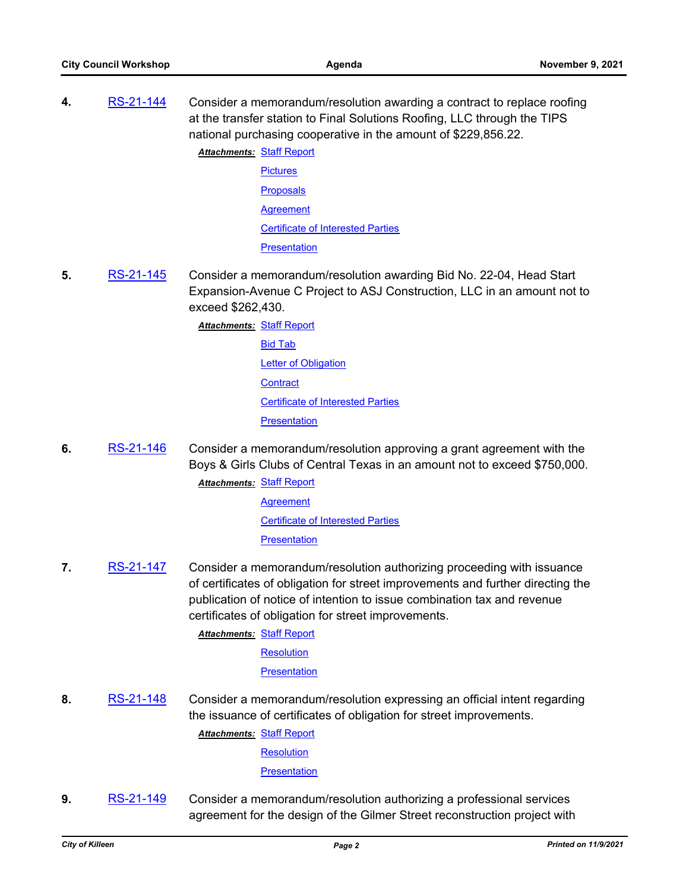**4.** [RS-21-144](http://killeen.legistar.com/gateway.aspx?m=l&id=/matter.aspx?key=5748) Consider a memorandum/resolution awarding a contract to replace roofing at the transfer station to Final Solutions Roofing, LLC through the TIPS national purchasing cooperative in the amount of \$229,856.22.

> **Attachments: [Staff Report](http://killeen.legistar.com/gateway.aspx?M=F&ID=ec77acbb-b0e4-4ff4-bdd4-605c28da0e66.pdf) [Pictures](http://killeen.legistar.com/gateway.aspx?M=F&ID=2aebf3f9-dd0e-472f-97e5-4fcf4459d651.pdf) [Proposals](http://killeen.legistar.com/gateway.aspx?M=F&ID=e2c120ed-8450-4661-8c4e-9d7789b49049.pdf) [Agreement](http://killeen.legistar.com/gateway.aspx?M=F&ID=c33db8c4-13e8-463c-8e1a-d785bf0fe12f.pdf)** [Certificate of Interested Parties](http://killeen.legistar.com/gateway.aspx?M=F&ID=124fb66d-8c73-4ecb-add0-3eb4a49164ba.pdf) **[Presentation](http://killeen.legistar.com/gateway.aspx?M=F&ID=a527a508-2754-4db5-919e-3d16db37c452.pdf)**

**5.** [RS-21-145](http://killeen.legistar.com/gateway.aspx?m=l&id=/matter.aspx?key=5769) Consider a memorandum/resolution awarding Bid No. 22-04, Head Start Expansion-Avenue C Project to ASJ Construction, LLC in an amount not to exceed \$262,430.

> **Attachments: [Staff Report](http://killeen.legistar.com/gateway.aspx?M=F&ID=c5913a92-52d3-4cab-8f8a-2220eefc6b66.pdf)** [Bid Tab](http://killeen.legistar.com/gateway.aspx?M=F&ID=62441106-1343-4142-97ec-f5a25284d8a1.pdf) **[Letter of Obligation](http://killeen.legistar.com/gateway.aspx?M=F&ID=18cf8fee-47cf-4091-86d1-d1c7ab3d5062.pdf) [Contract](http://killeen.legistar.com/gateway.aspx?M=F&ID=c62d4145-a0ce-4ac8-af89-1b521b7701d5.pdf)** [Certificate of Interested Parties](http://killeen.legistar.com/gateway.aspx?M=F&ID=b09c370b-ae04-4faa-a629-bcd27a2a09a1.pdf) **[Presentation](http://killeen.legistar.com/gateway.aspx?M=F&ID=6b1dfd8c-d09c-46fb-8423-73fd57178907.pdf)**

**6.** [RS-21-146](http://killeen.legistar.com/gateway.aspx?m=l&id=/matter.aspx?key=5766) Consider a memorandum/resolution approving a grant agreement with the Boys & Girls Clubs of Central Texas in an amount not to exceed \$750,000.

**Attachments: [Staff Report](http://killeen.legistar.com/gateway.aspx?M=F&ID=287b5b1b-d26e-45e1-a614-6ea6deb833b0.pdf)** 

[Agreement](http://killeen.legistar.com/gateway.aspx?M=F&ID=15279a25-180d-4ce3-8b78-4e9eb6e5175a.pdf) [Certificate of Interested Parties](http://killeen.legistar.com/gateway.aspx?M=F&ID=58e3d0c7-97d9-4819-a718-360461bf241a.pdf) **[Presentation](http://killeen.legistar.com/gateway.aspx?M=F&ID=31d31db8-79a5-4e35-bf5c-b155bc2b3865.pdf)** 

**7.** [RS-21-147](http://killeen.legistar.com/gateway.aspx?m=l&id=/matter.aspx?key=5767) Consider a memorandum/resolution authorizing proceeding with issuance of certificates of obligation for street improvements and further directing the publication of notice of intention to issue combination tax and revenue certificates of obligation for street improvements.

**Attachments: [Staff Report](http://killeen.legistar.com/gateway.aspx?M=F&ID=27cd07c5-2c3a-46d8-9194-796f53516b19.pdf)** 

**[Resolution](http://killeen.legistar.com/gateway.aspx?M=F&ID=d40e25d1-ea69-4bd3-8e89-5ebbca10f025.pdf)** 

**[Presentation](http://killeen.legistar.com/gateway.aspx?M=F&ID=3f4a9a18-2e93-49bb-8363-5a331b327a97.pdf)** 

**8.** [RS-21-148](http://killeen.legistar.com/gateway.aspx?m=l&id=/matter.aspx?key=5768) Consider a memorandum/resolution expressing an official intent regarding the issuance of certificates of obligation for street improvements.

**Attachments: [Staff Report](http://killeen.legistar.com/gateway.aspx?M=F&ID=2e567e23-6fd8-4a42-9754-d5533fe63092.pdf)** 

**[Resolution](http://killeen.legistar.com/gateway.aspx?M=F&ID=ed003634-4715-4414-8592-28a011a45e13.pdf)** 

**[Presentation](http://killeen.legistar.com/gateway.aspx?M=F&ID=cae924a9-511c-4e23-835f-a162577d5b08.pdf)** 

**9.** [RS-21-149](http://killeen.legistar.com/gateway.aspx?m=l&id=/matter.aspx?key=5782) Consider a memorandum/resolution authorizing a professional services agreement for the design of the Gilmer Street reconstruction project with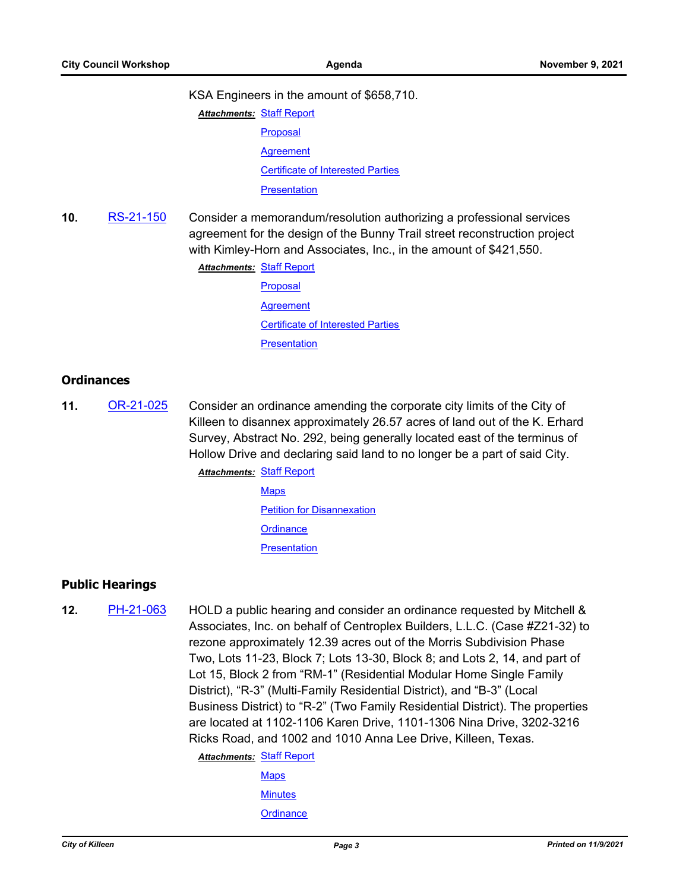#### KSA Engineers in the amount of \$658,710.

- **Attachments: [Staff Report](http://killeen.legistar.com/gateway.aspx?M=F&ID=eb8b5f11-60ca-4dc0-be39-a280bdd5f6ce.pdf)** [Proposal](http://killeen.legistar.com/gateway.aspx?M=F&ID=c369a542-204b-4d48-a3ba-d195d4e08763.pdf) **[Agreement](http://killeen.legistar.com/gateway.aspx?M=F&ID=ef94cd22-9d6f-4f9c-936c-4ec9875a5492.pdf)** [Certificate of Interested Parties](http://killeen.legistar.com/gateway.aspx?M=F&ID=b60d09c2-aba3-4f67-8569-49bb8233daad.pdf) **[Presentation](http://killeen.legistar.com/gateway.aspx?M=F&ID=81289d62-db23-4b13-9821-ac9f8a6ae78e.pdf)**
- **10.** [RS-21-150](http://killeen.legistar.com/gateway.aspx?m=l&id=/matter.aspx?key=5781) Consider a memorandum/resolution authorizing a professional services agreement for the design of the Bunny Trail street reconstruction project with Kimley-Horn and Associates, Inc., in the amount of \$421,550.

**Attachments: [Staff Report](http://killeen.legistar.com/gateway.aspx?M=F&ID=ff364db4-017b-453c-8f56-80238891eea1.pdf)** 

[Proposal](http://killeen.legistar.com/gateway.aspx?M=F&ID=14b7c297-1777-4b57-bb95-841d2ce68357.pdf) **[Agreement](http://killeen.legistar.com/gateway.aspx?M=F&ID=83f4e9a6-7f59-48d4-bd51-7f9e023a6a1a.pdf)** [Certificate of Interested Parties](http://killeen.legistar.com/gateway.aspx?M=F&ID=faeeda11-a024-4528-82d3-15e866c164f8.pdf) **[Presentation](http://killeen.legistar.com/gateway.aspx?M=F&ID=c266897d-d948-40ba-9935-c6d3d670ca11.pdf)** 

## **Ordinances**

**11.** [OR-21-025](http://killeen.legistar.com/gateway.aspx?m=l&id=/matter.aspx?key=5644) Consider an ordinance amending the corporate city limits of the City of Killeen to disannex approximately 26.57 acres of land out of the K. Erhard Survey, Abstract No. 292, being generally located east of the terminus of Hollow Drive and declaring said land to no longer be a part of said City.

**Attachments: [Staff Report](http://killeen.legistar.com/gateway.aspx?M=F&ID=354ee971-8aac-45f4-aaa6-ee6e740e86cb.pdf)** 

**[Maps](http://killeen.legistar.com/gateway.aspx?M=F&ID=abb0fe36-63e3-40a4-85bf-39ce05e8d2b3.pdf)** [Petition for Disannexation](http://killeen.legistar.com/gateway.aspx?M=F&ID=211e11ab-714b-4074-bbe4-7d43fd4ce90b.pdf) **[Ordinance](http://killeen.legistar.com/gateway.aspx?M=F&ID=7ed71fe6-6cd7-46c9-aa17-42278a04c0ce.pdf) [Presentation](http://killeen.legistar.com/gateway.aspx?M=F&ID=28b88ef9-4348-4c02-a8e2-c14cfba4bba8.pdf)** 

## **Public Hearings**

- **12.** [PH-21-063](http://killeen.legistar.com/gateway.aspx?m=l&id=/matter.aspx?key=5725) HOLD a public hearing and consider an ordinance requested by Mitchell & Associates, Inc. on behalf of Centroplex Builders, L.L.C. (Case #Z21-32) to rezone approximately 12.39 acres out of the Morris Subdivision Phase Two, Lots 11-23, Block 7; Lots 13-30, Block 8; and Lots 2, 14, and part of Lot 15, Block 2 from "RM-1" (Residential Modular Home Single Family District), "R-3" (Multi-Family Residential District), and "B-3" (Local Business District) to "R-2" (Two Family Residential District). The properties are located at 1102-1106 Karen Drive, 1101-1306 Nina Drive, 3202-3216 Ricks Road, and 1002 and 1010 Anna Lee Drive, Killeen, Texas.
	- **Attachments: [Staff Report](http://killeen.legistar.com/gateway.aspx?M=F&ID=b76e2b4c-3905-4f68-9e57-4037cbc32545.pdf)** 
		- **[Maps](http://killeen.legistar.com/gateway.aspx?M=F&ID=c88872db-7a0a-4383-bb06-3ac2c1f1f469.pdf) [Minutes](http://killeen.legistar.com/gateway.aspx?M=F&ID=b26fb4b4-c453-4093-8079-e35b3836464b.pdf) [Ordinance](http://killeen.legistar.com/gateway.aspx?M=F&ID=4ad6bcdf-3cdc-4010-a3bb-6976471dc389.pdf)**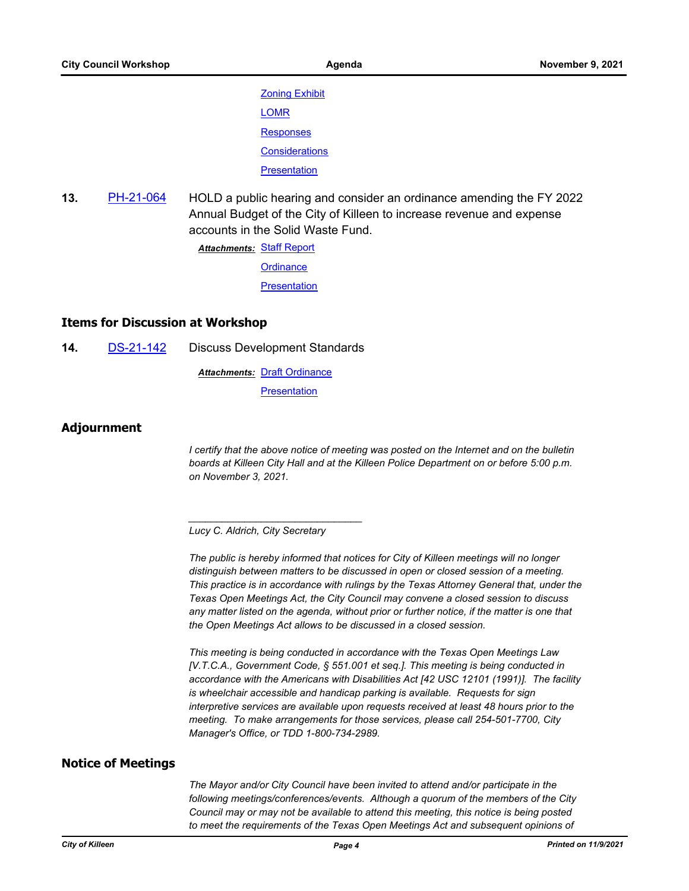[Zoning Exhibit](http://killeen.legistar.com/gateway.aspx?M=F&ID=33e89d26-27c7-4f74-b490-ee5f273dc51d.pdf) [LOMR](http://killeen.legistar.com/gateway.aspx?M=F&ID=2ac48f00-0e4d-47d2-abf4-e23bfbbd0c7b.pdf) **[Responses](http://killeen.legistar.com/gateway.aspx?M=F&ID=7497398d-7eaa-400d-aa7f-ba93cc1f9a14.pdf) [Considerations](http://killeen.legistar.com/gateway.aspx?M=F&ID=0239712c-1ecf-4929-9749-c98c4f88fd0d.pdf) [Presentation](http://killeen.legistar.com/gateway.aspx?M=F&ID=78941018-29b6-46ed-9746-7bdbd1bc6963.pdf)** 

**13.** [PH-21-064](http://killeen.legistar.com/gateway.aspx?m=l&id=/matter.aspx?key=5765) HOLD a public hearing and consider an ordinance amending the FY 2022 Annual Budget of the City of Killeen to increase revenue and expense accounts in the Solid Waste Fund.

> **Attachments: [Staff Report](http://killeen.legistar.com/gateway.aspx?M=F&ID=cb38fb57-d6a9-485e-8b3c-80e611ccb233.pdf) [Ordinance](http://killeen.legistar.com/gateway.aspx?M=F&ID=0232d053-7a7a-49cc-8ed2-4b53ced84f68.pdf)**

**[Presentation](http://killeen.legistar.com/gateway.aspx?M=F&ID=09fb7337-26c2-4bca-a879-f14205fa235c.pdf)** 

## **Items for Discussion at Workshop**

**14.** [DS-21-142](http://killeen.legistar.com/gateway.aspx?m=l&id=/matter.aspx?key=5784) Discuss Development Standards

**Attachments: [Draft Ordinance](http://killeen.legistar.com/gateway.aspx?M=F&ID=843a2def-a901-4390-826a-ae884e6a2cfe.pdf) [Presentation](http://killeen.legistar.com/gateway.aspx?M=F&ID=b83d276e-07fc-4109-8bed-13356e8d7798.pdf)** 

## **Adjournment**

*I certify that the above notice of meeting was posted on the Internet and on the bulletin boards at Killeen City Hall and at the Killeen Police Department on or before 5:00 p.m. on November 3, 2021.*

*Lucy C. Aldrich, City Secretary* 

*\_\_\_\_\_\_\_\_\_\_\_\_\_\_\_\_\_\_\_\_\_\_\_\_\_\_\_\_\_\_\_*

*The public is hereby informed that notices for City of Killeen meetings will no longer distinguish between matters to be discussed in open or closed session of a meeting. This practice is in accordance with rulings by the Texas Attorney General that, under the Texas Open Meetings Act, the City Council may convene a closed session to discuss*  any matter listed on the agenda, without prior or further notice, if the matter is one that *the Open Meetings Act allows to be discussed in a closed session.*

*This meeting is being conducted in accordance with the Texas Open Meetings Law [V.T.C.A., Government Code, § 551.001 et seq.]. This meeting is being conducted in accordance with the Americans with Disabilities Act [42 USC 12101 (1991)]. The facility is wheelchair accessible and handicap parking is available. Requests for sign interpretive services are available upon requests received at least 48 hours prior to the meeting. To make arrangements for those services, please call 254-501-7700, City Manager's Office, or TDD 1-800-734-2989.*

#### **Notice of Meetings**

*The Mayor and/or City Council have been invited to attend and/or participate in the following meetings/conferences/events. Although a quorum of the members of the City Council may or may not be available to attend this meeting, this notice is being posted*  to meet the requirements of the Texas Open Meetings Act and subsequent opinions of